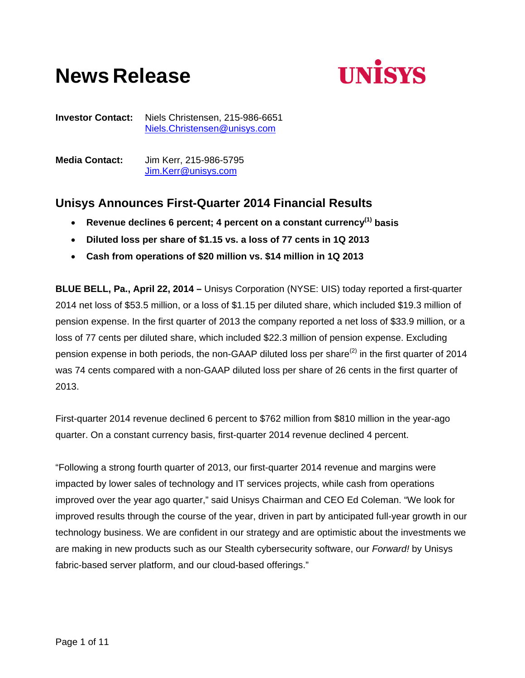# **News Release**



**Investor Contact:** Niels Christensen, 215-986-6651 Niels.Christensen@unisys.com

**Media Contact:** Jim Kerr, 215-986-5795 Jim.Kerr@unisys.com

## **Unisys Announces First-Quarter 2014 Financial Results**

- **Revenue declines 6 percent; 4 percent on a constant currency(1) basis**
- **Diluted loss per share of \$1.15 vs. a loss of 77 cents in 1Q 2013**
- **Cash from operations of \$20 million vs. \$14 million in 1Q 2013**

**BLUE BELL, Pa., April 22, 2014 –** Unisys Corporation (NYSE: UIS) today reported a first-quarter 2014 net loss of \$53.5 million, or a loss of \$1.15 per diluted share, which included \$19.3 million of pension expense. In the first quarter of 2013 the company reported a net loss of \$33.9 million, or a loss of 77 cents per diluted share, which included \$22.3 million of pension expense. Excluding pension expense in both periods, the non-GAAP diluted loss per share<sup>(2)</sup> in the first quarter of 2014 was 74 cents compared with a non-GAAP diluted loss per share of 26 cents in the first quarter of 2013.

First-quarter 2014 revenue declined 6 percent to \$762 million from \$810 million in the year-ago quarter. On a constant currency basis, first-quarter 2014 revenue declined 4 percent.

"Following a strong fourth quarter of 2013, our first-quarter 2014 revenue and margins were impacted by lower sales of technology and IT services projects, while cash from operations improved over the year ago quarter," said Unisys Chairman and CEO Ed Coleman. "We look for improved results through the course of the year, driven in part by anticipated full-year growth in our technology business. We are confident in our strategy and are optimistic about the investments we are making in new products such as our Stealth cybersecurity software, our *Forward!* by Unisys fabric-based server platform, and our cloud-based offerings."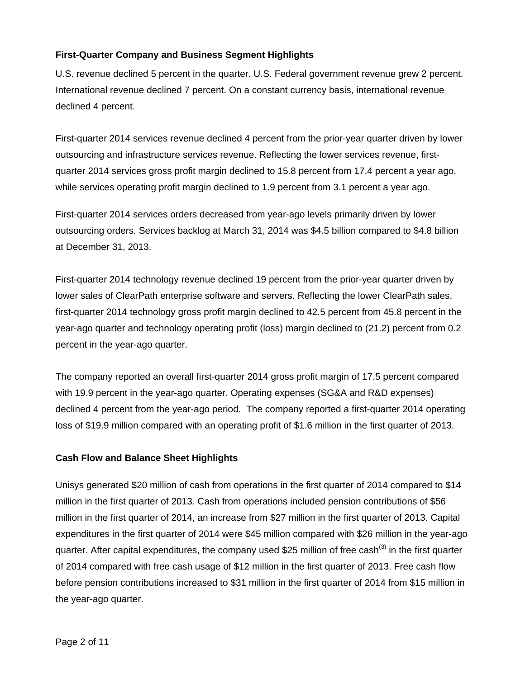## **First-Quarter Company and Business Segment Highlights**

U.S. revenue declined 5 percent in the quarter. U.S. Federal government revenue grew 2 percent. International revenue declined 7 percent. On a constant currency basis, international revenue declined 4 percent.

First-quarter 2014 services revenue declined 4 percent from the prior-year quarter driven by lower outsourcing and infrastructure services revenue. Reflecting the lower services revenue, firstquarter 2014 services gross profit margin declined to 15.8 percent from 17.4 percent a year ago, while services operating profit margin declined to 1.9 percent from 3.1 percent a year ago.

First-quarter 2014 services orders decreased from year-ago levels primarily driven by lower outsourcing orders. Services backlog at March 31, 2014 was \$4.5 billion compared to \$4.8 billion at December 31, 2013.

First-quarter 2014 technology revenue declined 19 percent from the prior-year quarter driven by lower sales of ClearPath enterprise software and servers. Reflecting the lower ClearPath sales, first-quarter 2014 technology gross profit margin declined to 42.5 percent from 45.8 percent in the year-ago quarter and technology operating profit (loss) margin declined to (21.2) percent from 0.2 percent in the year-ago quarter.

The company reported an overall first-quarter 2014 gross profit margin of 17.5 percent compared with 19.9 percent in the year-ago quarter. Operating expenses (SG&A and R&D expenses) declined 4 percent from the year-ago period. The company reported a first-quarter 2014 operating loss of \$19.9 million compared with an operating profit of \$1.6 million in the first quarter of 2013.

## **Cash Flow and Balance Sheet Highlights**

Unisys generated \$20 million of cash from operations in the first quarter of 2014 compared to \$14 million in the first quarter of 2013. Cash from operations included pension contributions of \$56 million in the first quarter of 2014, an increase from \$27 million in the first quarter of 2013. Capital expenditures in the first quarter of 2014 were \$45 million compared with \$26 million in the year-ago quarter. After capital expenditures, the company used \$25 million of free cash<sup>(3)</sup> in the first quarter of 2014 compared with free cash usage of \$12 million in the first quarter of 2013. Free cash flow before pension contributions increased to \$31 million in the first quarter of 2014 from \$15 million in the year-ago quarter.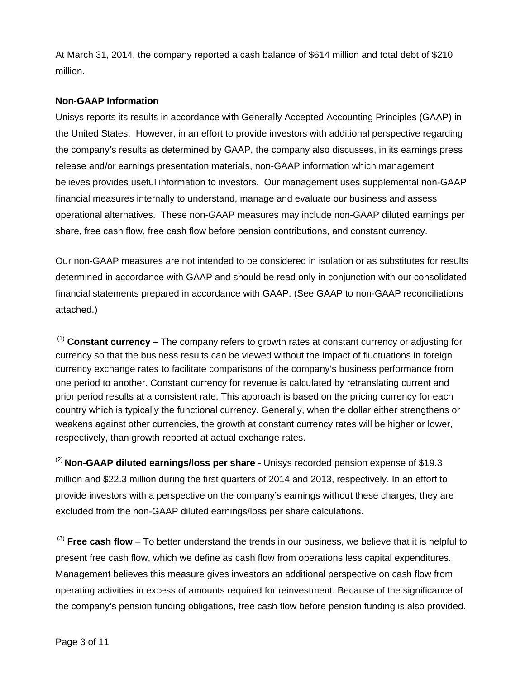At March 31, 2014, the company reported a cash balance of \$614 million and total debt of \$210 million.

## **Non-GAAP Information**

Unisys reports its results in accordance with Generally Accepted Accounting Principles (GAAP) in the United States. However, in an effort to provide investors with additional perspective regarding the company's results as determined by GAAP, the company also discusses, in its earnings press release and/or earnings presentation materials, non-GAAP information which management believes provides useful information to investors. Our management uses supplemental non-GAAP financial measures internally to understand, manage and evaluate our business and assess operational alternatives. These non-GAAP measures may include non-GAAP diluted earnings per share, free cash flow, free cash flow before pension contributions, and constant currency.

Our non-GAAP measures are not intended to be considered in isolation or as substitutes for results determined in accordance with GAAP and should be read only in conjunction with our consolidated financial statements prepared in accordance with GAAP. (See GAAP to non-GAAP reconciliations attached.)

 (1) **Constant currency** – The company refers to growth rates at constant currency or adjusting for currency so that the business results can be viewed without the impact of fluctuations in foreign currency exchange rates to facilitate comparisons of the company's business performance from one period to another. Constant currency for revenue is calculated by retranslating current and prior period results at a consistent rate. This approach is based on the pricing currency for each country which is typically the functional currency. Generally, when the dollar either strengthens or weakens against other currencies, the growth at constant currency rates will be higher or lower, respectively, than growth reported at actual exchange rates.

(2) **Non-GAAP diluted earnings/loss per share -** Unisys recorded pension expense of \$19.3 million and \$22.3 million during the first quarters of 2014 and 2013, respectively. In an effort to provide investors with a perspective on the company's earnings without these charges, they are excluded from the non-GAAP diluted earnings/loss per share calculations.

 (3) **Free cash flow** – To better understand the trends in our business, we believe that it is helpful to present free cash flow, which we define as cash flow from operations less capital expenditures. Management believes this measure gives investors an additional perspective on cash flow from operating activities in excess of amounts required for reinvestment. Because of the significance of the company's pension funding obligations, free cash flow before pension funding is also provided.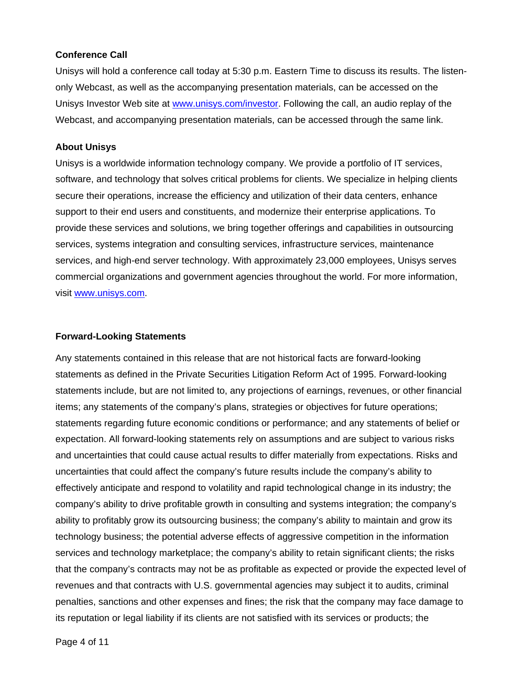## **Conference Call**

Unisys will hold a conference call today at 5:30 p.m. Eastern Time to discuss its results. The listenonly Webcast, as well as the accompanying presentation materials, can be accessed on the Unisys Investor Web site at www.unisys.com/investor. Following the call, an audio replay of the Webcast, and accompanying presentation materials, can be accessed through the same link.

## **About Unisys**

Unisys is a worldwide information technology company. We provide a portfolio of IT services, software, and technology that solves critical problems for clients. We specialize in helping clients secure their operations, increase the efficiency and utilization of their data centers, enhance support to their end users and constituents, and modernize their enterprise applications. To provide these services and solutions, we bring together offerings and capabilities in outsourcing services, systems integration and consulting services, infrastructure services, maintenance services, and high-end server technology. With approximately 23,000 employees, Unisys serves commercial organizations and government agencies throughout the world. For more information, visit www.unisys.com.

### **Forward-Looking Statements**

Any statements contained in this release that are not historical facts are forward-looking statements as defined in the Private Securities Litigation Reform Act of 1995. Forward-looking statements include, but are not limited to, any projections of earnings, revenues, or other financial items; any statements of the company's plans, strategies or objectives for future operations; statements regarding future economic conditions or performance; and any statements of belief or expectation. All forward-looking statements rely on assumptions and are subject to various risks and uncertainties that could cause actual results to differ materially from expectations. Risks and uncertainties that could affect the company's future results include the company's ability to effectively anticipate and respond to volatility and rapid technological change in its industry; the company's ability to drive profitable growth in consulting and systems integration; the company's ability to profitably grow its outsourcing business; the company's ability to maintain and grow its technology business; the potential adverse effects of aggressive competition in the information services and technology marketplace; the company's ability to retain significant clients; the risks that the company's contracts may not be as profitable as expected or provide the expected level of revenues and that contracts with U.S. governmental agencies may subject it to audits, criminal penalties, sanctions and other expenses and fines; the risk that the company may face damage to its reputation or legal liability if its clients are not satisfied with its services or products; the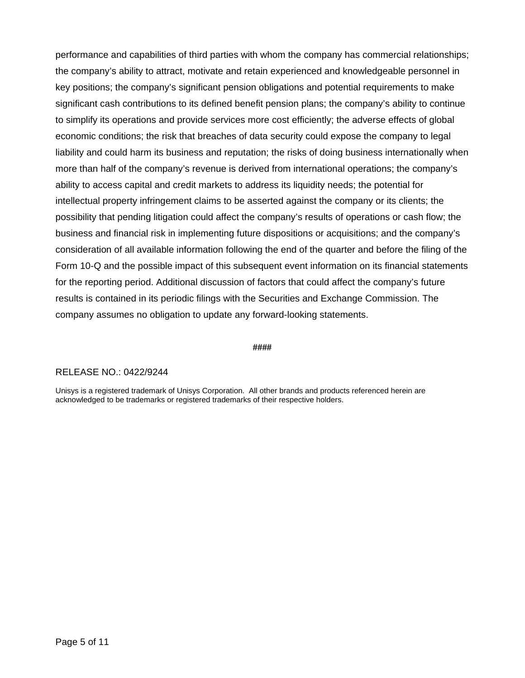performance and capabilities of third parties with whom the company has commercial relationships; the company's ability to attract, motivate and retain experienced and knowledgeable personnel in key positions; the company's significant pension obligations and potential requirements to make significant cash contributions to its defined benefit pension plans; the company's ability to continue to simplify its operations and provide services more cost efficiently; the adverse effects of global economic conditions; the risk that breaches of data security could expose the company to legal liability and could harm its business and reputation; the risks of doing business internationally when more than half of the company's revenue is derived from international operations; the company's ability to access capital and credit markets to address its liquidity needs; the potential for intellectual property infringement claims to be asserted against the company or its clients; the possibility that pending litigation could affect the company's results of operations or cash flow; the business and financial risk in implementing future dispositions or acquisitions; and the company's consideration of all available information following the end of the quarter and before the filing of the Form 10-Q and the possible impact of this subsequent event information on its financial statements for the reporting period. Additional discussion of factors that could affect the company's future results is contained in its periodic filings with the Securities and Exchange Commission. The company assumes no obligation to update any forward-looking statements.

#### **####**

#### RELEASE NO.: 0422/9244

Unisys is a registered trademark of Unisys Corporation. All other brands and products referenced herein are acknowledged to be trademarks or registered trademarks of their respective holders.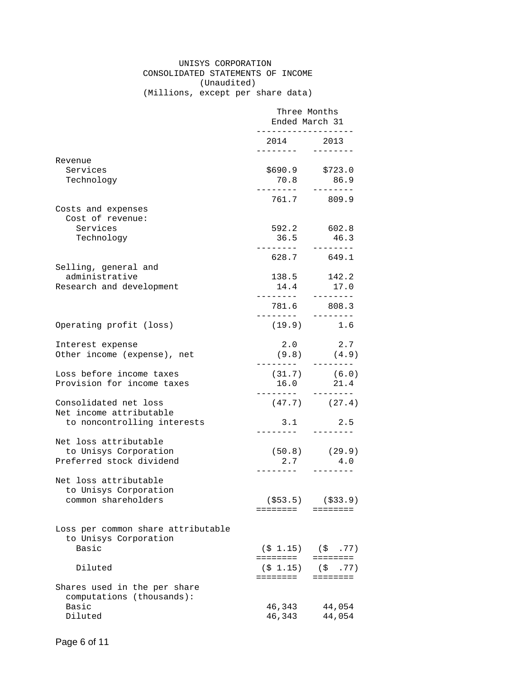#### UNISYS CORPORATION CONSOLIDATED STATEMENTS OF INCOME (Unaudited)

(Millions, except per share data)

|                                                  | Three Months<br>Ended March 31<br>. <u>.</u> . |                                            |
|--------------------------------------------------|------------------------------------------------|--------------------------------------------|
|                                                  | 2014 2013<br>-------- --------                 |                                            |
| Revenue                                          |                                                |                                            |
| Services                                         |                                                | \$690.9 \$723.0                            |
| Technology                                       | 70.8<br>---------                              | 86.9<br>$- - - - - - - - -$                |
|                                                  |                                                | 761.7 809.9                                |
| Costs and expenses                               |                                                |                                            |
| Cost of revenue:<br>Services                     |                                                | 592.2 602.8                                |
| Technology                                       |                                                | 36.5 46.3                                  |
|                                                  | _________                                      |                                            |
| Selling, general and                             |                                                | 628.7 649.1                                |
| administrative                                   | 138.5                                          | 142.2                                      |
| Research and development                         | 14.4<br>. <u>.</u> .                           | 17.0                                       |
|                                                  |                                                | ---------<br>781.6 808.3                   |
| Operating profit (loss)                          |                                                | $(19.9)$ 1.6                               |
| Interest expense                                 | 2.0                                            | 2.7                                        |
| Other income (expense), net                      |                                                | $(9.8)$ $(4.9)$                            |
| Loss before income taxes                         |                                                | $(31.7)$ $(6.0)$                           |
| Provision for income taxes                       |                                                | $16.0$ 21.4                                |
|                                                  |                                                |                                            |
| Consolidated net loss<br>Net income attributable |                                                | $(47.7)$ $(27.4)$                          |
| to noncontrolling interests                      |                                                | $3.1$ 2.5                                  |
|                                                  |                                                |                                            |
| Net loss attributable<br>to Unisys Corporation   |                                                |                                            |
| Preferred stock dividend                         | 2.7                                            | $(50.8)$ $(29.9)$<br>4.0                   |
|                                                  |                                                |                                            |
| Net loss attributable                            |                                                |                                            |
| to Unisys Corporation<br>common shareholders     |                                                | $($ \$53.5) (\$33.9)                       |
|                                                  | ========                                       | $=$ = = = = = = =                          |
| Loss per common share attributable               |                                                |                                            |
| to Unisys Corporation                            |                                                |                                            |
| Basic                                            |                                                | $($ \$ 1.15) $($ \$ .77)                   |
| Diluted                                          | ========                                       | <b>EEEEEEEE</b><br>$(\$ 1.15)$ $(\$ 0.77)$ |
|                                                  | ========                                       | $=$                                        |
| Shares used in the per share                     |                                                |                                            |
| computations (thousands):<br>Basic               | 46,343                                         | 44,054                                     |
| Diluted                                          | 46,343                                         | 44,054                                     |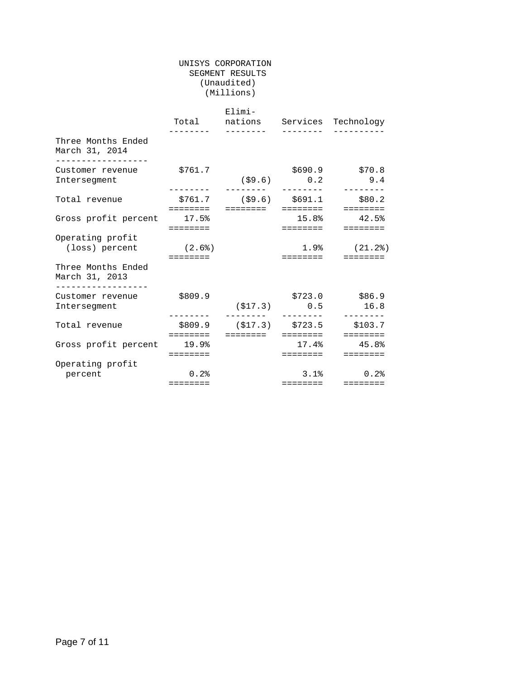#### UNISYS CORPORATION SEGMENT RESULTS (Unaudited) (Millions)

|                                                            | Total                      | Elimi-             |          | nations Services Technology                                                                |
|------------------------------------------------------------|----------------------------|--------------------|----------|--------------------------------------------------------------------------------------------|
| Three Months Ended<br>March 31, 2014<br>__________________ |                            |                    |          |                                                                                            |
| Customer revenue<br>Intersegment                           | \$761.7<br>--------        |                    |          | \$690.9 \$70.8<br>$(59.6)$ 0.2 9.4                                                         |
| Total revenue                                              | ========                   |                    |          | \$761.7 (\$9.6) \$691.1 \$80.2                                                             |
| Gross profit percent 17.5%                                 | ========                   |                    | ======== | 15.8% 42.5%<br>$=$ = = = = = = =                                                           |
| Operating profit<br>(loss) percent                         | (2.6)<br>$=$ = = = = = = = |                    | ======== | $1.9$ (21.2 %)<br>$\begin{array}{cccccccccc} = & = & = & = & = & = & = & = & \end{array}$  |
| Three Months Ended<br>March 31, 2013                       |                            |                    |          |                                                                                            |
| -----------------<br>Customer revenue<br>Intersegment      | \$809.9                    |                    |          | \$723.0 \$86.9<br>$($ \$17.3) 0.5 16.8<br>--------                                         |
| Total revenue                                              | ========                   | ========  ======== |          | \$809.9 (\$17.3) \$723.5 \$103.7<br>$=$ = = = = = = =                                      |
| Gross profit percent 19.9%                                 | $=$ = = = = = = =          |                    | ======== | $17.4$ % $45.8$<br>$\begin{array}{cccccccccc} = & = & = & = & = & = & = & = & \end{array}$ |
| Operating profit<br>percent                                | 0.2%<br>========           |                    | ======== | $3.1%$ 0.2%<br>$=$ = = = = = = =                                                           |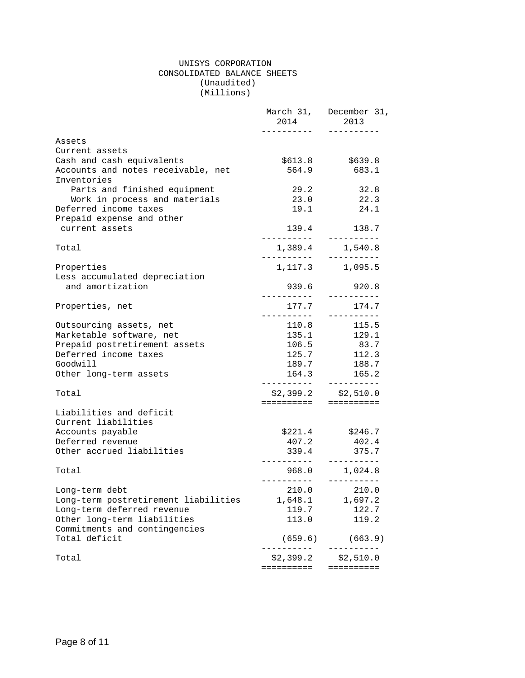#### UNISYS CORPORATION CONSOLIDATED BALANCE SHEETS (Unaudited) (Millions)

|                                      | 2014                   | March 31, December 31,<br>2013<br>---------- |
|--------------------------------------|------------------------|----------------------------------------------|
| Assets                               |                        |                                              |
| Current assets                       |                        |                                              |
| Cash and cash equivalents            | \$613.8                | \$639.8                                      |
| Accounts and notes receivable, net   | 564.9                  | 683.1                                        |
| Inventories                          |                        |                                              |
| Parts and finished equipment         | 29.2                   | 32.8                                         |
| Work in process and materials        |                        | 23.0 22.3                                    |
| Deferred income taxes                | 19.1                   | 24.1                                         |
| Prepaid expense and other            |                        |                                              |
| current assets                       |                        | 139.4 138.7                                  |
| Total                                | __________             | ----------                                   |
|                                      | ___________            | 1,389.4 1,540.8<br>-----------               |
| Properties                           |                        | 1, 117.3 1, 095.5                            |
| Less accumulated depreciation        |                        |                                              |
| and amortization                     | 939.6                  | 920.8                                        |
|                                      |                        |                                              |
| Properties, net                      |                        | $177.7$ $174.7$                              |
|                                      | ----------- -------    |                                              |
| Outsourcing assets, net              | 110.8                  | 115.5                                        |
| Marketable software, net             |                        | 135.1 129.1                                  |
| Prepaid postretirement assets        | 106.5                  | 83.7                                         |
| Deferred income taxes                | 125.7                  | 112.3                                        |
| Goodwill                             |                        | 189.7 188.7                                  |
| Other long-term assets               |                        | 164.3 165.2                                  |
| Total                                |                        | $$2,399.2$ $$2,510.0$                        |
|                                      | ==========  ========== |                                              |
| Liabilities and deficit              |                        |                                              |
| Current liabilities                  |                        |                                              |
| Accounts payable                     |                        | $$221.4$ $$246.7$                            |
| Deferred revenue                     | 407.2                  | 402.4                                        |
| Other accrued liabilities            | 339.4                  | 375.7                                        |
|                                      |                        |                                              |
| Total                                |                        | 968.0 1,024.8                                |
| Long-term debt                       | 210.0                  | ----------<br>210.0                          |
| Long-term postretirement liabilities | 1,648.1                | 1,697.2                                      |
| Long-term deferred revenue           | 119.7                  | 122.7                                        |
| Other long-term liabilities          | 113.0                  | 119.2                                        |
| Commitments and contingencies        |                        |                                              |
| Total deficit                        | (659.6)                | (663.9)                                      |
|                                      |                        |                                              |
| Total                                | \$2,399.2              | \$2,510.0                                    |
|                                      | ==========             | ==========                                   |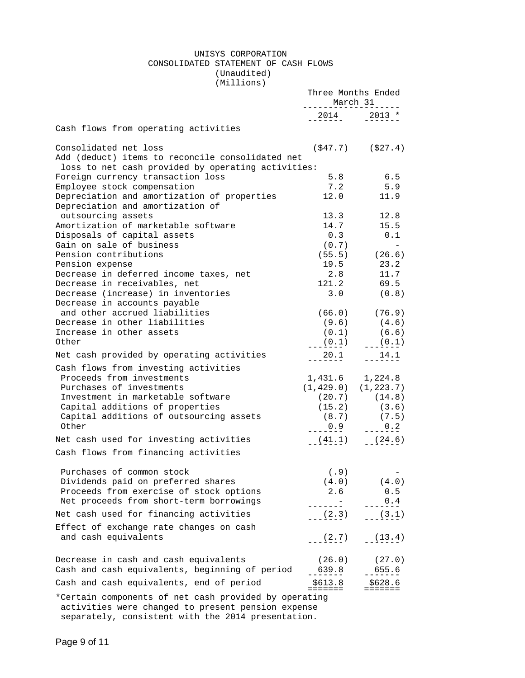#### UNISYS CORPORATION CONSOLIDATED STATEMENT OF CASH FLOWS (Unaudited) (Millions)

| $March$ 31<br>$2014$ $2013$ *<br>Cash flows from operating activities<br>Consolidated net loss<br>$($ \$47.7) (\$27.4)<br>Add (deduct) items to reconcile consolidated net<br>loss to net cash provided by operating activities:<br>Foreign currency transaction loss<br>5.8 6.5<br>$7.2$ 5.9<br>Employee stock compensation<br>Depreciation and amortization of properties<br>12.0<br>11.9<br>Depreciation and amortization of |
|---------------------------------------------------------------------------------------------------------------------------------------------------------------------------------------------------------------------------------------------------------------------------------------------------------------------------------------------------------------------------------------------------------------------------------|
|                                                                                                                                                                                                                                                                                                                                                                                                                                 |
|                                                                                                                                                                                                                                                                                                                                                                                                                                 |
|                                                                                                                                                                                                                                                                                                                                                                                                                                 |
|                                                                                                                                                                                                                                                                                                                                                                                                                                 |
|                                                                                                                                                                                                                                                                                                                                                                                                                                 |
|                                                                                                                                                                                                                                                                                                                                                                                                                                 |
|                                                                                                                                                                                                                                                                                                                                                                                                                                 |
|                                                                                                                                                                                                                                                                                                                                                                                                                                 |
| 13.3<br>outsourcing assets<br>12.8                                                                                                                                                                                                                                                                                                                                                                                              |
| Amortization of marketable software<br>14.7<br>15.5                                                                                                                                                                                                                                                                                                                                                                             |
| Disposals of capital assets<br>0.3<br>0.1                                                                                                                                                                                                                                                                                                                                                                                       |
| Gain on sale of business<br>(0.7)<br>$\sim$                                                                                                                                                                                                                                                                                                                                                                                     |
| $(55.5)$ $(26.6)$<br>Pension contributions                                                                                                                                                                                                                                                                                                                                                                                      |
| 19.5<br>23.2<br>Pension expense                                                                                                                                                                                                                                                                                                                                                                                                 |
| Decrease in deferred income taxes, net<br>2.8<br>11.7                                                                                                                                                                                                                                                                                                                                                                           |
| 121.2 69.5<br>Decrease in receivables, net                                                                                                                                                                                                                                                                                                                                                                                      |
| Decrease (increase) in inventories<br>3.0<br>(0.8)                                                                                                                                                                                                                                                                                                                                                                              |
| Decrease in accounts payable                                                                                                                                                                                                                                                                                                                                                                                                    |
| and other accrued liabilities<br>$(66.0)$ $(76.9)$                                                                                                                                                                                                                                                                                                                                                                              |
| $(9.6)$ $(4.6)$<br>Decrease in other liabilities                                                                                                                                                                                                                                                                                                                                                                                |
| $(0.1)$ $(6.6)$<br>Increase in other assets                                                                                                                                                                                                                                                                                                                                                                                     |
| $(0.1)$ $(0.1)$<br>Other                                                                                                                                                                                                                                                                                                                                                                                                        |
| Net cash provided by operating activities<br>20.1<br>14.1                                                                                                                                                                                                                                                                                                                                                                       |
| Cash flows from investing activities                                                                                                                                                                                                                                                                                                                                                                                            |
| Proceeds from investments<br>1,431.6 1,224.8                                                                                                                                                                                                                                                                                                                                                                                    |
| $(1, 429.0)$ $(1, 223.7)$<br>Purchases of investments                                                                                                                                                                                                                                                                                                                                                                           |
| Investment in marketable software<br>$(20.7)$ $(14.8)$                                                                                                                                                                                                                                                                                                                                                                          |
| Capital additions of properties<br>$(15.2)$ $(3.6)$                                                                                                                                                                                                                                                                                                                                                                             |
| Capital additions of outsourcing assets<br>$(8.7)$ $(7.5)$                                                                                                                                                                                                                                                                                                                                                                      |
| Other<br>$-$ 0.9 $-$ 0.2                                                                                                                                                                                                                                                                                                                                                                                                        |
|                                                                                                                                                                                                                                                                                                                                                                                                                                 |
| $(41.1)$ $(24.6)$<br>Net cash used for investing activities                                                                                                                                                                                                                                                                                                                                                                     |
| Cash flows from financing activities                                                                                                                                                                                                                                                                                                                                                                                            |
| Purchases of common stock<br>(.9)                                                                                                                                                                                                                                                                                                                                                                                               |
| Dividends paid on preferred shares<br>(4.0)<br>(4.0)                                                                                                                                                                                                                                                                                                                                                                            |
| Proceeds from exercise of stock options<br>2.6<br>0.5                                                                                                                                                                                                                                                                                                                                                                           |
| Net proceeds from short-term borrowings<br>0.4                                                                                                                                                                                                                                                                                                                                                                                  |
|                                                                                                                                                                                                                                                                                                                                                                                                                                 |
| Net cash used for financing activities<br>(2.3)<br>(3.1)                                                                                                                                                                                                                                                                                                                                                                        |
| Effect of exchange rate changes on cash                                                                                                                                                                                                                                                                                                                                                                                         |
| and cash equivalents<br>(2.7)<br>(13.4)                                                                                                                                                                                                                                                                                                                                                                                         |
| Decrease in cash and cash equivalents<br>(26.0)<br>(27.0)                                                                                                                                                                                                                                                                                                                                                                       |
| Cash and cash equivalents, beginning of period<br>639.8<br>655.6                                                                                                                                                                                                                                                                                                                                                                |
| Cash and cash equivalents, end of period<br>\$613.8<br>\$628.6                                                                                                                                                                                                                                                                                                                                                                  |
| *Certain components of net cash provided by operating                                                                                                                                                                                                                                                                                                                                                                           |

\*Certain components of net cash provided by operating activities were changed to present pension expense separately, consistent with the 2014 presentation.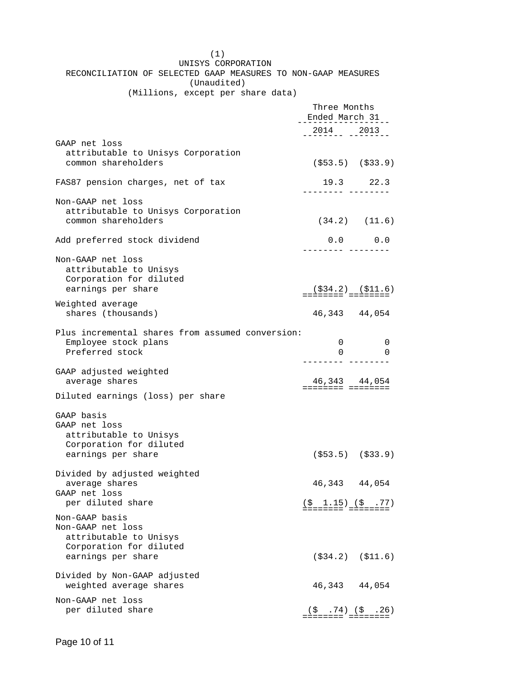(1) UNISYS CORPORATION RECONCILIATION OF SELECTED GAAP MEASURES TO NON-GAAP MEASURES (Unaudited)

(Millions, except per share data)

|                                                                                                                | Three Months                            |                                                                                                                                                                                                                                                                                                                                         |
|----------------------------------------------------------------------------------------------------------------|-----------------------------------------|-----------------------------------------------------------------------------------------------------------------------------------------------------------------------------------------------------------------------------------------------------------------------------------------------------------------------------------------|
|                                                                                                                | Ended March 31                          |                                                                                                                                                                                                                                                                                                                                         |
|                                                                                                                | $2014$ $2013$                           |                                                                                                                                                                                                                                                                                                                                         |
| GAAP net loss                                                                                                  |                                         |                                                                                                                                                                                                                                                                                                                                         |
| attributable to Unisys Corporation<br>common shareholders                                                      |                                         | $(553.5)$ $(533.9)$                                                                                                                                                                                                                                                                                                                     |
| FAS87 pension charges, net of tax                                                                              | <u> ------- --------</u>                | 19.3 22.3                                                                                                                                                                                                                                                                                                                               |
| Non-GAAP net loss                                                                                              |                                         |                                                                                                                                                                                                                                                                                                                                         |
| attributable to Unisys Corporation<br>common shareholders                                                      |                                         | $(34.2)$ $(11.6)$                                                                                                                                                                                                                                                                                                                       |
| Add preferred stock dividend                                                                                   | --------- --------                      | 0.0 0.0                                                                                                                                                                                                                                                                                                                                 |
| Non-GAAP net loss<br>attributable to Unisys<br>Corporation for diluted                                         |                                         |                                                                                                                                                                                                                                                                                                                                         |
| earnings per share                                                                                             |                                         |                                                                                                                                                                                                                                                                                                                                         |
| Weighted average<br>shares (thousands)                                                                         | 46,343 44,054                           |                                                                                                                                                                                                                                                                                                                                         |
| Plus incremental shares from assumed conversion:<br>Employee stock plans                                       |                                         | $\overline{0}$ and $\overline{0}$ and $\overline{0}$ and $\overline{0}$ and $\overline{0}$ and $\overline{0}$ and $\overline{0}$ and $\overline{0}$ and $\overline{0}$ and $\overline{0}$ and $\overline{0}$ and $\overline{0}$ and $\overline{0}$ and $\overline{0}$ and $\overline{0}$ and $\overline{0}$ and $\overline{0}$ and<br>0 |
| Preferred stock                                                                                                |                                         | $0 \qquad \qquad$<br>0                                                                                                                                                                                                                                                                                                                  |
| GAAP adjusted weighted<br>average shares                                                                       |                                         |                                                                                                                                                                                                                                                                                                                                         |
| Diluted earnings (loss) per share                                                                              |                                         |                                                                                                                                                                                                                                                                                                                                         |
| GAAP basis<br>GAAP net loss<br>attributable to Unisys<br>Corporation for diluted                               |                                         |                                                                                                                                                                                                                                                                                                                                         |
| earnings per share                                                                                             |                                         | $($ \$53.5) (\$33.9)                                                                                                                                                                                                                                                                                                                    |
| Divided by adjusted weighted<br>average shares                                                                 | 46, 343 44, 054                         |                                                                                                                                                                                                                                                                                                                                         |
| GAAP net loss<br>per diluted share                                                                             | (\$ 1.15) (\$ .77)<br>======== ======== |                                                                                                                                                                                                                                                                                                                                         |
| Non-GAAP basis<br>Non-GAAP net loss<br>attributable to Unisys<br>Corporation for diluted<br>earnings per share |                                         | $($ \$34.2) $($ \$11.6)                                                                                                                                                                                                                                                                                                                 |
|                                                                                                                |                                         |                                                                                                                                                                                                                                                                                                                                         |
| Divided by Non-GAAP adjusted<br>weighted average shares                                                        | 46,343 44,054                           |                                                                                                                                                                                                                                                                                                                                         |
| Non-GAAP net loss<br>per diluted share                                                                         | $($ \$.74) $($ \$.26)                   |                                                                                                                                                                                                                                                                                                                                         |